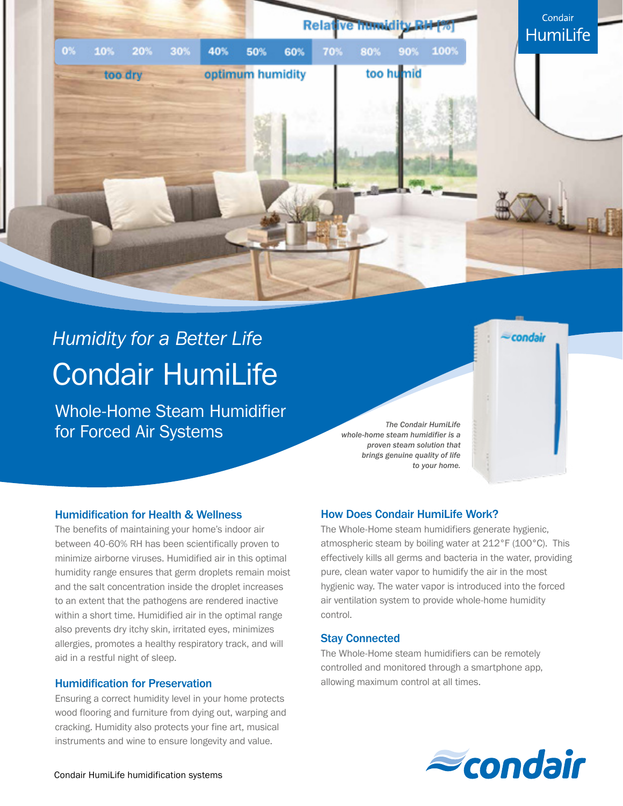

# *Humidity for a Better Life* Condair HumiLife

Whole-Home Steam Humidifier for Forced Air Systems

*The Condair HumiLife whole-home steam humidifier is a proven steam solution that brings genuine quality of life to your home.*

# Humidification for Health & Wellness

The benefits of maintaining your home's indoor air between 40-60% RH has been scientifically proven to minimize airborne viruses. Humidified air in this optimal humidity range ensures that germ droplets remain moist and the salt concentration inside the droplet increases to an extent that the pathogens are rendered inactive within a short time. Humidified air in the optimal range also prevents dry itchy skin, irritated eyes, minimizes allergies, promotes a healthy respiratory track, and will aid in a restful night of sleep.

## Humidification for Preservation

Ensuring a correct humidity level in your home protects wood flooring and furniture from dying out, warping and cracking. Humidity also protects your fine art, musical instruments and wine to ensure longevity and value.

# How Does Condair HumiLife Work?

The Whole-Home steam humidifiers generate hygienic, atmospheric steam by boiling water at 212°F (100°C). This effectively kills all germs and bacteria in the water, providing pure, clean water vapor to humidify the air in the most hygienic way. The water vapor is introduced into the forced air ventilation system to provide whole-home humidity control.

### Stay Connected

The Whole-Home steam humidifiers can be remotely controlled and monitored through a smartphone app, allowing maximum control at all times.



condair